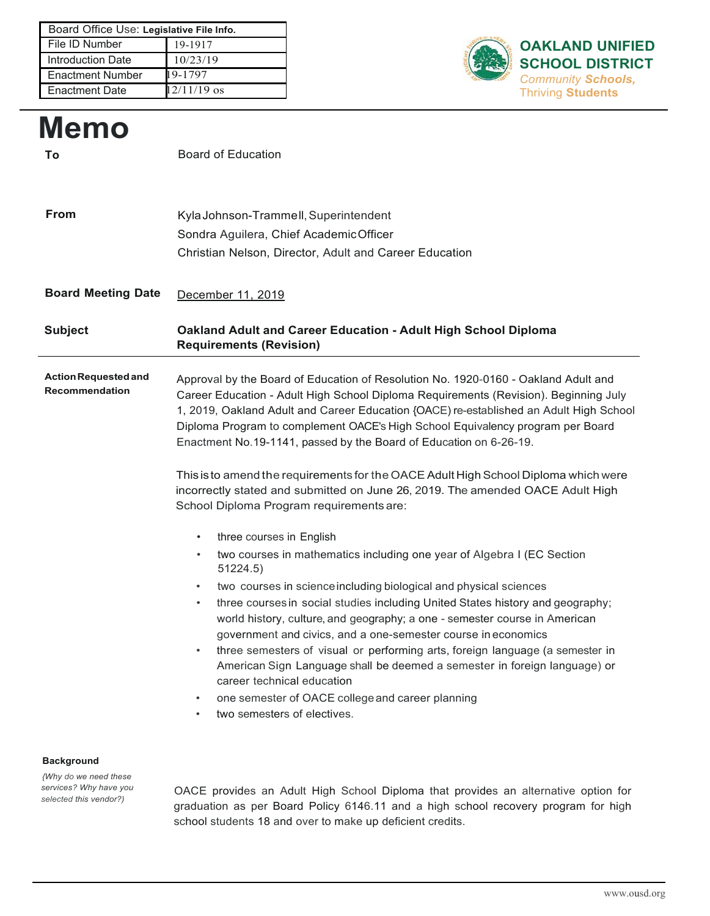| Board Office Use: Legislative File Info. |               |
|------------------------------------------|---------------|
| File ID Number                           | 19-1917       |
| <b>Introduction Date</b>                 | 10/23/19      |
| <b>Enactment Number</b>                  | 19-1797       |
| <b>Enactment Date</b>                    | $12/11/19$ os |



# **Memo To** Board of Education **From** KylaJohnson-Trammell, Superintendent Sondra Aguilera, Chief AcademicOfficer Christian Nelson, Director, Adult and Career Education **Board Meeting Date** December 11, 2019 **Subject Oakland Adult and Career Education - Adult High School Diploma Requirements (Revision) ActionRequestedand Recommendation** Approval by the Board of Education of Resolution No. 1920-0160 - Oakland Adult and Career Education - Adult High School Diploma Requirements (Revision). Beginning July 1, 2019, Oakland Adult and Career Education {OACE) re-established an Adult High School Diploma Program to complement OACE's High School Equivalency program per Board Enactment No.19-1141, passed by the Board of Education on 6-26-19. This is to amend the requirements for the OACE Adult High School Diploma which were incorrectly stated and submitted on June 26, 2019. The amended OACE Adult High School Diploma Program requirements are: three courses in English two courses in mathematics including one year of Algebra I (EC Section 51224.5) two courses in science including biological and physical sciences • three courses in social studies including United States history and geography; world history, culture, and geography; a one - semester course in American government and civics, and a one-semester course in economics • three semesters of visual or performing arts, foreign language (a semester in American Sign Language shall be deemed a semester in foreign language) or career technical education one semester of OACE college and career planning two semesters of electives.

#### **Background**

*{Why do we need these services? Why have you selected this vendor?)*

OACE provides an Adult High School Diploma that provides an alternative option for graduation as per Board Policy 6146.11 and a high school recovery program for high school students 18 and over to make up deficient credits.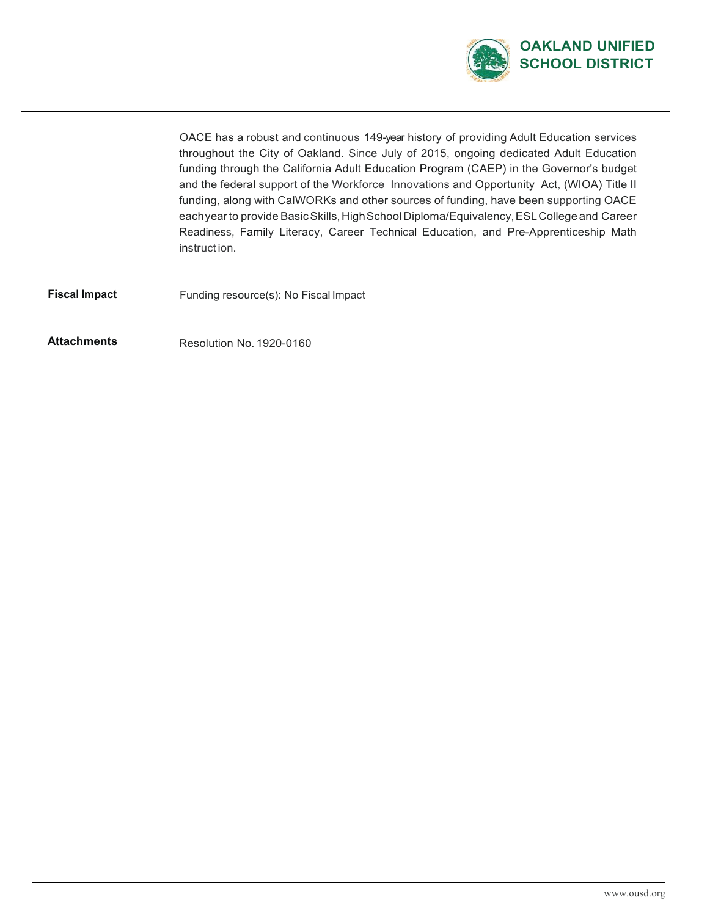

OACE has a robust and continuous 149-year history of providing Adult Education services throughout the City of Oakland. Since July of 2015, ongoing dedicated Adult Education funding through the California Adult Education Program (CAEP) in the Governor's budget and the federal support of the Workforce Innovations and Opportunity Act, (WIOA) Title II funding, along with CalWORKs and other sources of funding, have been supporting OACE eachyear to provide Basic Skills, High School Diploma/Equivalency, ESL College and Career Readiness, Family Literacy, Career Technical Education, and Pre-Apprenticeship Math instruct ion.

**Fiscal Impact** Funding resource(s): No Fiscal Impact

Attachments Resolution No. 1920-0160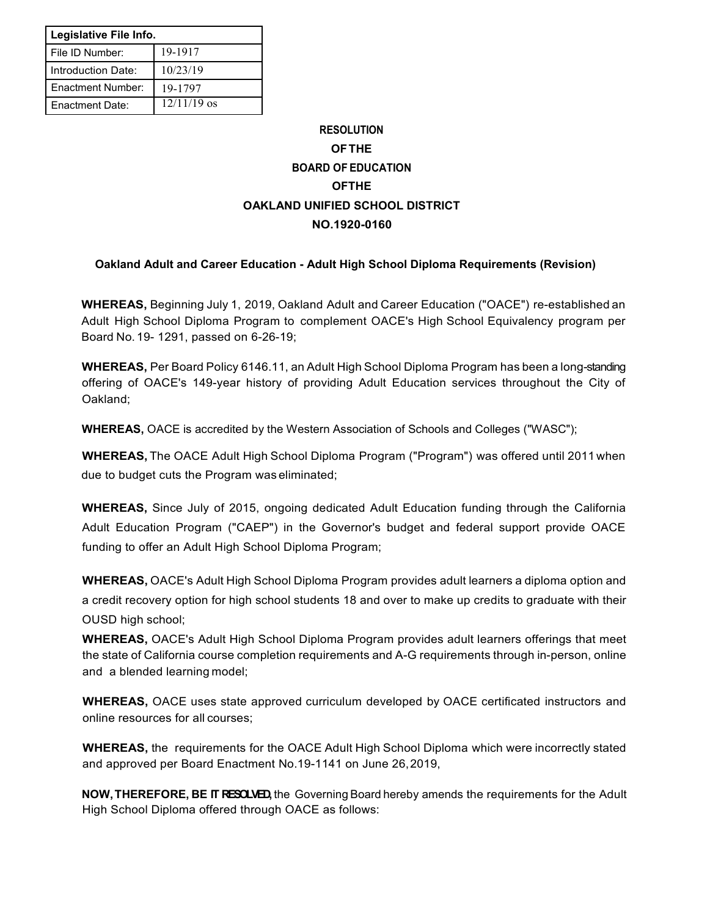| Legislative File Info. |               |  |
|------------------------|---------------|--|
| l File ID Number:      | 19-1917       |  |
| Introduction Date:     | 10/23/19      |  |
| Enactment Number:      | 19-1797       |  |
| Enactment Date:        | $12/11/19$ os |  |

## **RESOLUTION OFTHE BOARD OF EDUCATION OFTHE OAKLAND UNIFIED SCHOOL DISTRICT NO.1920-0160**

### **Oakland Adult and Career Education - Adult High School Diploma Requirements (Revision)**

**WHEREAS,** Beginning July 1, 2019, Oakland Adult and Career Education ("OACE") re-established an Adult High School Diploma Program to complement OACE's High School Equivalency program per Board No. 19- 1291, passed on 6-26-19;

**WHEREAS,** Per Board Policy 6146.11, an Adult High School Diploma Program has been a long-standing offering of OACE's 149-year history of providing Adult Education services throughout the City of Oakland;

**WHEREAS,** OACE is accredited by the Western Association of Schools and Colleges ("WASC");

**WHEREAS,** The OACE Adult High School Diploma Program ("Program") was offered until 2011 when due to budget cuts the Program was eliminated;

**WHEREAS,** Since July of 2015, ongoing dedicated Adult Education funding through the California Adult Education Program ("CAEP") in the Governor's budget and federal support provide OACE funding to offer an Adult High School Diploma Program;

**WHEREAS,** OACE's Adult High School Diploma Program provides adult learners a diploma option and a credit recovery option for high school students 18 and over to make up credits to graduate with their OUSD high school:

**WHEREAS,** OACE's Adult High School Diploma Program provides adult learners offerings that meet the state of California course completion requirements and A-G requirements through in-person, online and a blended learning model;

**WHEREAS,** OACE uses state approved curriculum developed by OACE certificated instructors and online resources for all courses;

**WHEREAS,** the requirements for the OACE Adult High School Diploma which were incorrectly stated and approved per Board Enactment No.19-1141 on June 26,2019,

**NOW,THEREFORE, BE IT RESOLVED,** the Governing Board hereby amends the requirements for the Adult High School Diploma offered through OACE as follows: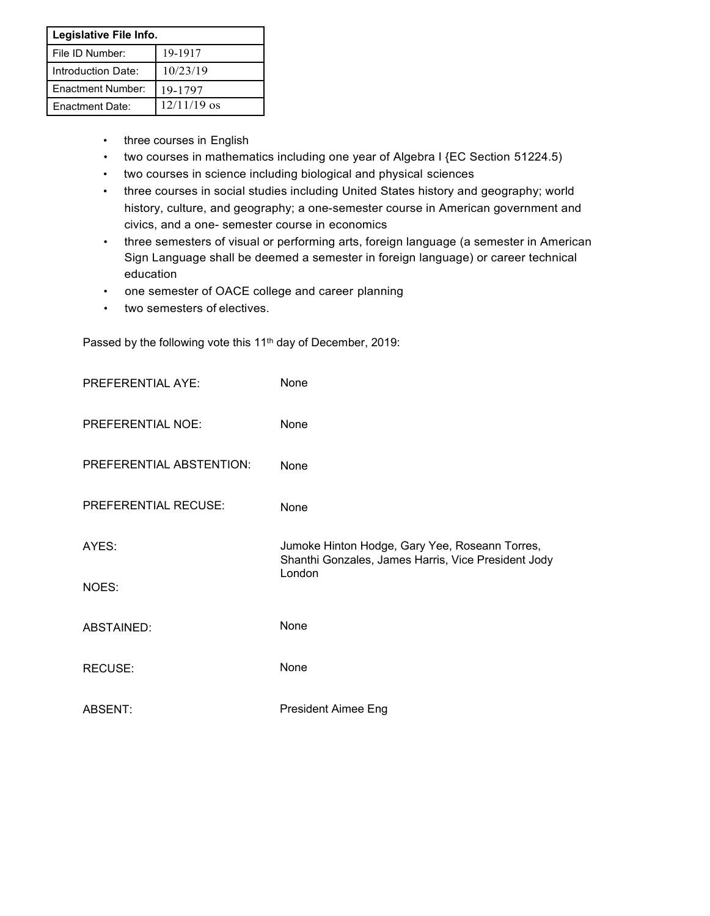| Legislative File Info. |               |  |
|------------------------|---------------|--|
| File ID Number:        | 19-1917       |  |
| Introduction Date:     | 10/23/19      |  |
| Enactment Number:      | 19-1797       |  |
| <b>Fnactment Date:</b> | $12/11/19$ os |  |

- three courses in English
- two courses in mathematics including one year of Algebra I {EC Section 51224.5)
- two courses in science including biological and physical sciences
- three courses in social studies including United States history and geography; world history, culture, and geography; a one-semester course in American government and civics, and a one- semester course in economics
- three semesters of visual or performing arts, foreign language (a semester in American Sign Language shall be deemed a semester in foreign language) or career technical education
- one semester of OACE college and career planning
- two semesters of electives.

Passed by the following vote this 11<sup>th</sup> day of December, 2019:

| <b>PREFERENTIAL AYE:</b> | None                                                                                                  |  |
|--------------------------|-------------------------------------------------------------------------------------------------------|--|
| PREFERENTIAL NOE:        | None                                                                                                  |  |
| PREFERENTIAL ABSTENTION: | None                                                                                                  |  |
| PREFERENTIAL RECUSE:     | None                                                                                                  |  |
| AYES:                    | Jumoke Hinton Hodge, Gary Yee, Roseann Torres,<br>Shanthi Gonzales, James Harris, Vice President Jody |  |
| NOES:                    | London                                                                                                |  |
| ABSTAINED:               | None                                                                                                  |  |
| RECUSE:                  | None                                                                                                  |  |
| ABSENT:                  | <b>President Aimee Eng</b>                                                                            |  |